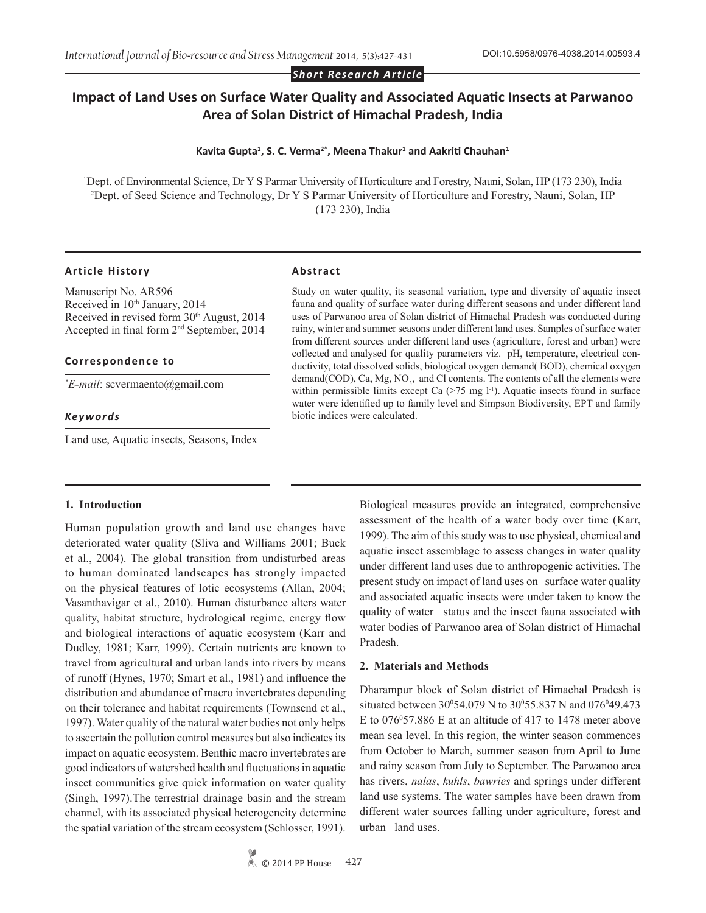*Short Research Article*

# **Impact of Land Uses on Surface Water Quality and Associated Aquatic Insects at Parwanoo Area of Solan District of Himachal Pradesh, India**

#### **Kavita Gupta1 , S. C. Verma2\*, Meena Thakur<sup>1</sup> and Aakriti Chauhan<sup>1</sup>**

1 Dept. of Environmental Science, Dr Y S Parmar University of Horticulture and Forestry, Nauni, Solan, HP (173 230), India 2 Dept. of Seed Science and Technology, Dr Y S Parmar University of Horticulture and Forestry, Nauni, Solan, HP (173 230), India

#### **Article History Abstract**

Manuscript No. AR596 Received in 10<sup>th</sup> January, 2014 Received in revised form 30<sup>th</sup> August, 2014 Accepted in final form 2nd September, 2014

#### **Correspondence to**

*\* E-mail*: scvermaento@gmail.com

#### *Keywords*

Land use, Aquatic insects, Seasons, Index

Study on water quality, its seasonal variation, type and diversity of aquatic insect fauna and quality of surface water during different seasons and under different land uses of Parwanoo area of Solan district of Himachal Pradesh was conducted during rainy, winter and summer seasons under different land uses. Samples of surface water from different sources under different land uses (agriculture, forest and urban) were collected and analysed for quality parameters viz. pH, temperature, electrical conductivity, total dissolved solids, biological oxygen demand( BOD), chemical oxygen demand(COD), Ca, Mg, NO<sub>3</sub>, and Cl contents. The contents of all the elements were within permissible limits except Ca  $($ >75 mg l<sup>-1</sup>). Aquatic insects found in surface water were identified up to family level and Simpson Biodiversity, EPT and family biotic indices were calculated.

#### **1. Introduction**

Human population growth and land use changes have deteriorated water quality (Sliva and Williams 2001; Buck et al., 2004). The global transition from undisturbed areas to human dominated landscapes has strongly impacted on the physical features of lotic ecosystems (Allan, 2004; Vasanthavigar et al., 2010). Human disturbance alters water quality, habitat structure, hydrological regime, energy flow and biological interactions of aquatic ecosystem (Karr and Dudley, 1981; Karr, 1999). Certain nutrients are known to travel from agricultural and urban lands into rivers by means of runoff (Hynes, 1970; Smart et al., 1981) and influence the distribution and abundance of macro invertebrates depending on their tolerance and habitat requirements (Townsend et al., 1997). Water quality of the natural water bodies not only helps to ascertain the pollution control measures but also indicates its impact on aquatic ecosystem. Benthic macro invertebrates are good indicators of watershed health and fluctuations in aquatic insect communities give quick information on water quality (Singh, 1997).The terrestrial drainage basin and the stream channel, with its associated physical heterogeneity determine the spatial variation of the stream ecosystem (Schlosser, 1991). Biological measures provide an integrated, comprehensive assessment of the health of a water body over time (Karr, 1999). The aim of this study was to use physical, chemical and aquatic insect assemblage to assess changes in water quality under different land uses due to anthropogenic activities. The present study on impact of land uses on surface water quality and associated aquatic insects were under taken to know the quality of water status and the insect fauna associated with water bodies of Parwanoo area of Solan district of Himachal Pradesh.

#### **2. Materials and Methods**

Dharampur block of Solan district of Himachal Pradesh is situated between  $30^{\circ}54.079$  N to  $30^{\circ}55.837$  N and  $076^{\circ}49.473$ E to  $076^{\circ}57.886$  E at an altitude of 417 to 1478 meter above mean sea level. In this region, the winter season commences from October to March, summer season from April to June and rainy season from July to September. The Parwanoo area has rivers, *nalas*, *kuhls*, *bawries* and springs under different land use systems. The water samples have been drawn from different water sources falling under agriculture, forest and urban land uses.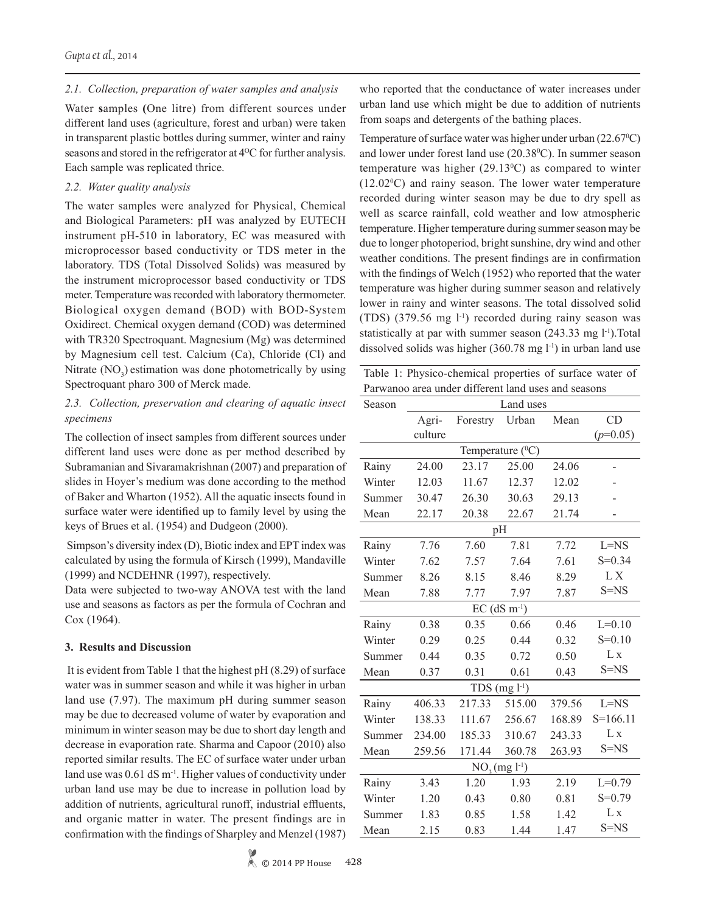#### *2.1. Collection, preparation of water samples and analysis*

Water **s**amples **(**One litre) from different sources under different land uses (agriculture, forest and urban) were taken in transparent plastic bottles during summer, winter and rainy seasons and stored in the refrigerator at 4<sup>o</sup>C for further analysis. Each sample was replicated thrice.

#### *2.2. Water quality analysis*

The water samples were analyzed for Physical, Chemical and Biological Parameters: pH was analyzed by EUTECH instrument pH-510 in laboratory, EC was measured with microprocessor based conductivity or TDS meter in the laboratory. TDS (Total Dissolved Solids) was measured by the instrument microprocessor based conductivity or TDS meter. Temperature was recorded with laboratory thermometer. Biological oxygen demand (BOD) with BOD-System Oxidirect. Chemical oxygen demand (COD) was determined with TR320 Spectroquant. Magnesium (Mg) was determined by Magnesium cell test. Calcium (Ca), Chloride (Cl) and Nitrate  $(NO<sub>3</sub>)$  estimation was done photometrically by using Spectroquant pharo 300 of Merck made.

## *2.3. Collection, preservation and clearing of aquatic insect specimens*

The collection of insect samples from different sources under different land uses were done as per method described by Subramanian and Sivaramakrishnan (2007) and preparation of slides in Hoyer's medium was done according to the method of Baker and Wharton (1952). All the aquatic insects found in surface water were identified up to family level by using the keys of Brues et al. (1954) and Dudgeon (2000).

 Simpson's diversity index (D), Biotic index and EPT index was calculated by using the formula of Kirsch (1999), Mandaville (1999) and NCDEHNR (1997), respectively.

Data were subjected to two-way ANOVA test with the land use and seasons as factors as per the formula of Cochran and Cox (1964).

### **3. Results and Discussion**

 It is evident from Table 1 that the highest pH (8.29) of surface water was in summer season and while it was higher in urban land use (7.97). The maximum pH during summer season may be due to decreased volume of water by evaporation and minimum in winter season may be due to short day length and decrease in evaporation rate. Sharma and Capoor (2010) also reported similar results. The EC of surface water under urban land use was 0.61 dS m<sup>-1</sup>. Higher values of conductivity under urban land use may be due to increase in pollution load by addition of nutrients, agricultural runoff, industrial effluents, and organic matter in water. The present findings are in confirmation with the findings of Sharpley and Menzel (1987) who reported that the conductance of water increases under urban land use which might be due to addition of nutrients from soaps and detergents of the bathing places.

Temperature of surface water was higher under urban (22.67<sup>o</sup>C) and lower under forest land use (20.38<sup>°</sup>C). In summer season temperature was higher  $(29.13^{\circ}C)$  as compared to winter  $(12.02\degree C)$  and rainy season. The lower water temperature recorded during winter season may be due to dry spell as well as scarce rainfall, cold weather and low atmospheric temperature. Higher temperature during summer season may be due to longer photoperiod, bright sunshine, dry wind and other weather conditions. The present findings are in confirmation with the findings of Welch (1952) who reported that the water temperature was higher during summer season and relatively lower in rainy and winter seasons. The total dissolved solid (TDS) (379.56 mg  $l^{-1}$ ) recorded during rainy season was statistically at par with summer season  $(243.33 \text{ mg } l^{-1})$ . Total dissolved solids was higher  $(360.78 \text{ mg l}^{-1})$  in urban land use

Table 1: Physico-chemical properties of surface water of Parwanoo area under different land uses and seasons

| Season                     | Land uses             |          |        |        |                |  |
|----------------------------|-----------------------|----------|--------|--------|----------------|--|
|                            | Agri-                 | Forestry | Urban  | Mean   | CD             |  |
|                            | culture               |          |        |        | $(p=0.05)$     |  |
|                            | Temperature $(^{0}C)$ |          |        |        |                |  |
| Rainy                      | 24.00                 | 23.17    | 25.00  | 24.06  | -              |  |
| Winter                     | 12.03                 | 11.67    | 12.37  | 12.02  |                |  |
| Summer                     | 30.47                 | 26.30    | 30.63  | 29.13  |                |  |
| Mean                       | 22.17                 | 20.38    | 22.67  | 21.74  |                |  |
|                            |                       |          | pH     |        |                |  |
| Rainy                      | 7.76                  | 7.60     | 7.81   | 7.72   | $L = NS$       |  |
| Winter                     | 7.62                  | 7.57     | 7.64   | 7.61   | $S = 0.34$     |  |
| Summer                     | 8.26                  | 8.15     | 8.46   | 8.29   | L X            |  |
| Mean                       | 7.88                  | 7.77     | 7.97   | 7.87   | $S=NS$         |  |
| $EC$ (dS m <sup>-1</sup> ) |                       |          |        |        |                |  |
| Rainy                      | 0.38                  | 0.35     | 0.66   | 0.46   | $L=0.10$       |  |
| Winter                     | 0.29                  | 0.25     | 0.44   | 0.32   | $S=0.10$       |  |
| Summer                     | 0.44                  | 0.35     | 0.72   | 0.50   | L <sub>x</sub> |  |
| Mean                       | 0.37                  | 0.31     | 0.61   | 0.43   | $S=NS$         |  |
| TDS $(mg l^{-1})$          |                       |          |        |        |                |  |
| Rainy                      | 406.33                | 217.33   | 515.00 | 379.56 | $L = NS$       |  |
| Winter                     | 138.33                | 111.67   | 256.67 | 168.89 | $S=166.11$     |  |
| Summer                     | 234.00                | 185.33   | 310.67 | 243.33 | L <sub>x</sub> |  |
| Mean                       | 259.56                | 171.44   | 360.78 | 263.93 | $S=NS$         |  |
| $NO_3$ (mg $l^{-1}$ )      |                       |          |        |        |                |  |
| Rainy                      | 3.43                  | 1.20     | 1.93   | 2.19   | $L=0.79$       |  |
| Winter                     | 1.20                  | 0.43     | 0.80   | 0.81   | $S=0.79$       |  |
| Summer                     | 1.83                  | 0.85     | 1.58   | 1.42   | L <sub>x</sub> |  |
| Mean                       | 2.15                  | 0.83     | 1.44   | 1.47   | $S=NS$         |  |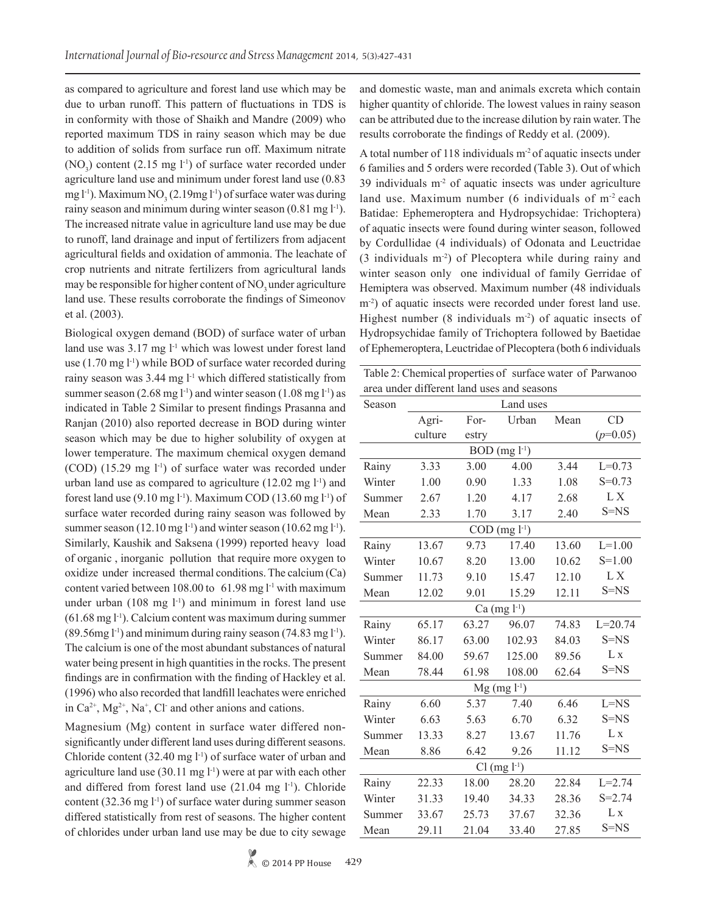as compared to agriculture and forest land use which may be due to urban runoff. This pattern of fluctuations in TDS is in conformity with those of Shaikh and Mandre (2009) who reported maximum TDS in rainy season which may be due to addition of solids from surface run off. Maximum nitrate  $(NO<sub>3</sub>)$  content (2.15 mg l<sup>-1</sup>) of surface water recorded under agriculture land use and minimum under forest land use (0.83 mg l<sup>-1</sup>). Maximum NO<sub>3</sub> (2.19mg l<sup>-1</sup>) of surface water was during rainy season and minimum during winter season (0.81 mg l<sup>-1</sup>). The increased nitrate value in agriculture land use may be due to runoff, land drainage and input of fertilizers from adjacent agricultural fields and oxidation of ammonia. The leachate of crop nutrients and nitrate fertilizers from agricultural lands may be responsible for higher content of  $NO<sub>3</sub>$  under agriculture land use. These results corroborate the findings of Simeonov et al. (2003).

Biological oxygen demand (BOD) of surface water of urban land use was 3.17 mg l<sup>-1</sup> which was lowest under forest land use  $(1.70 \text{ mg } l^{-1})$  while BOD of surface water recorded during rainy season was  $3.44 \text{ mg}$  l<sup>-1</sup> which differed statistically from summer season (2.68 mg l<sup>-1</sup>) and winter season (1.08 mg l<sup>-1</sup>) as indicated in Table 2 Similar to present findings Prasanna and Ranjan (2010) also reported decrease in BOD during winter season which may be due to higher solubility of oxygen at lower temperature. The maximum chemical oxygen demand  $(COD)$  (15.29 mg  $1<sup>-1</sup>$ ) of surface water was recorded under urban land use as compared to agriculture  $(12.02 \text{ mg } l^{-1})$  and forest land use  $(9.10 \text{ mg l}^{-1})$ . Maximum COD  $(13.60 \text{ mg l}^{-1})$  of surface water recorded during rainy season was followed by summer season (12.10 mg l<sup>-1</sup>) and winter season (10.62 mg l<sup>-1</sup>). Similarly, Kaushik and Saksena (1999) reported heavy load of organic , inorganic pollution that require more oxygen to oxidize under increased thermal conditions. The calcium (Ca) content varied between 108.00 to 61.98 mg l-1 with maximum under urban  $(108 \text{ mg } l^{-1})$  and minimum in forest land use  $(61.68 \text{ mg l}^{-1})$ . Calcium content was maximum during summer  $(89.56mg l^{-1})$  and minimum during rainy season  $(74.83mg l^{-1})$ . The calcium is one of the most abundant substances of natural water being present in high quantities in the rocks. The present findings are in confirmation with the finding of Hackley et al. (1996) who also recorded that landfill leachates were enriched in  $Ca^{2+}$ ,  $Mg^{2+}$ ,  $Na^{+}$ , Cl and other anions and cations.

Magnesium (Mg) content in surface water differed nonsignificantly under different land uses during different seasons. Chloride content  $(32.40 \text{ mg } 1^{-1})$  of surface water of urban and agriculture land use  $(30.11 \text{ mg l}^{-1})$  were at par with each other and differed from forest land use  $(21.04 \text{ mg } l^{-1})$ . Chloride content  $(32.36 \text{ mg } l^{\text{-}1})$  of surface water during summer season differed statistically from rest of seasons. The higher content of chlorides under urban land use may be due to city sewage and domestic waste, man and animals excreta which contain higher quantity of chloride. The lowest values in rainy season can be attributed due to the increase dilution by rain water. The results corroborate the findings of Reddy et al. (2009).

A total number of 118 individuals m-2 of aquatic insects under 6 families and 5 orders were recorded (Table 3). Out of which 39 individuals  $m<sup>2</sup>$  of aquatic insects was under agriculture land use. Maximum number  $(6 \text{ individuals of } m^2 \text{ each})$ Batidae: Ephemeroptera and Hydropsychidae: Trichoptera) of aquatic insects were found during winter season, followed by Cordullidae (4 individuals) of Odonata and Leuctridae (3 individuals m-2) of Plecoptera while during rainy and winter season only one individual of family Gerridae of Hemiptera was observed. Maximum number (48 individuals m<sup>-2</sup>) of aquatic insects were recorded under forest land use. Highest number  $(8 \text{ individuals } m^2)$  of aquatic insects of Hydropsychidae family of Trichoptera followed by Baetidae of Ephemeroptera, Leuctridae of Plecoptera (both 6 individuals

Table 2: Chemical properties of surface water of Parwanoo area under different land uses and seasons

| Season              | Land uses            |       |                      |       |                |  |
|---------------------|----------------------|-------|----------------------|-------|----------------|--|
|                     | Agri-                | For-  | Urban                | Mean  | CD             |  |
|                     | culture              | estry |                      |       | $(p=0.05)$     |  |
|                     | $BOD$ (mg $l^{-1}$ ) |       |                      |       |                |  |
| Rainy               | 3.33                 | 3.00  | 4.00                 | 3.44  | $L=0.73$       |  |
| Winter              | 1.00                 | 0.90  | 1.33                 | 1.08  | $S = 0.73$     |  |
| Summer              | 2.67                 | 1.20  | 4.17                 | 2.68  | LX             |  |
| Mean                | 2.33                 | 1.70  | 3.17                 | 2.40  | $S=NS$         |  |
|                     |                      |       | $COD$ (mg $l^{-1}$ ) |       |                |  |
| Rainy               | 13.67                | 9.73  | 17.40                | 13.60 | $L=1.00$       |  |
| Winter              | 10.67                | 8.20  | 13.00                | 10.62 | $S = 1.00$     |  |
| Summer              | 11.73                | 9.10  | 15.47                | 12.10 | LX             |  |
| Mean                | 12.02                | 9.01  | 15.29                | 12.11 | $S=NS$         |  |
| Ca $(mg l^{-1})$    |                      |       |                      |       |                |  |
| Rainy               | 65.17                | 63.27 | 96.07                | 74.83 | $L = 20.74$    |  |
| Winter              | 86.17                | 63.00 | 102.93               | 84.03 | $S=NS$         |  |
| Summer              | 84.00                | 59.67 | 125.00               | 89.56 | L x            |  |
| Mean                | 78.44                | 61.98 | 108.00               | 62.64 | $S=NS$         |  |
| $Mg$ (mg $l^{-1}$ ) |                      |       |                      |       |                |  |
| Rainy               | 6.60                 | 5.37  | 7.40                 | 6.46  | $L = NS$       |  |
| Winter              | 6.63                 | 5.63  | 6.70                 | 6.32  | $S=NS$         |  |
| Summer              | 13.33                | 8.27  | 13.67                | 11.76 | L <sub>x</sub> |  |
| Mean                | 8.86                 | 6.42  | 9.26                 | 11.12 | S=NS           |  |
| $Cl (mg l-1)$       |                      |       |                      |       |                |  |
| Rainy               | 22.33                | 18.00 | 28.20                | 22.84 | $L = 2.74$     |  |
| Winter              | 31.33                | 19.40 | 34.33                | 28.36 | $S = 2.74$     |  |
| Summer              | 33.67                | 25.73 | 37.67                | 32.36 | L <sub>x</sub> |  |
| Mean                | 29.11                | 21.04 | 33.40                | 27.85 | $S=NS$         |  |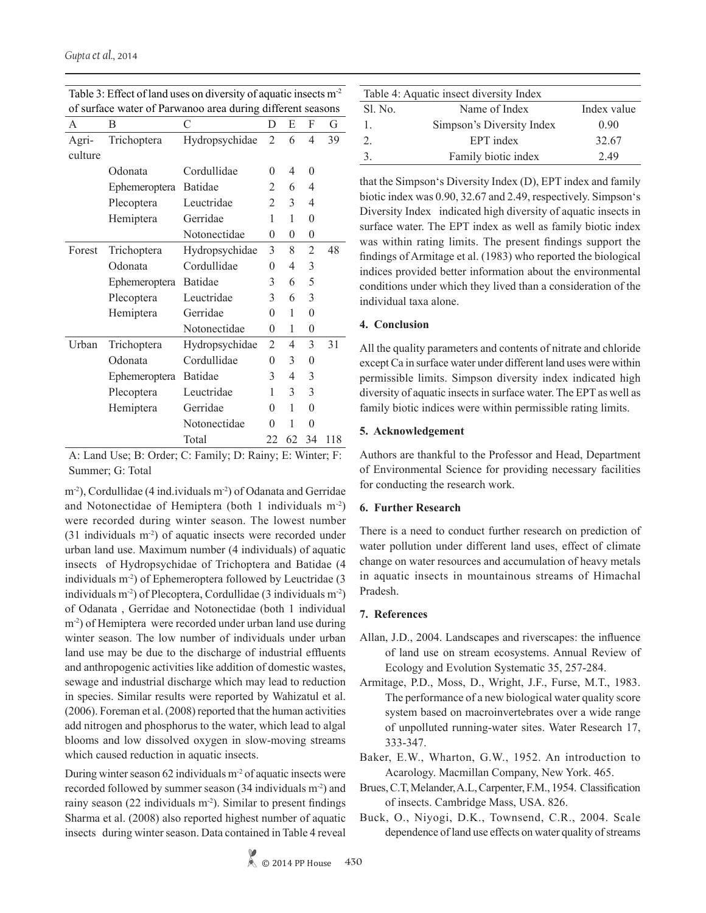| of surface water of Parwanoo area during different seasons |               |                |                |    |                  |     |  |
|------------------------------------------------------------|---------------|----------------|----------------|----|------------------|-----|--|
| А                                                          | B             | С              | D              | E  | F                | G   |  |
| Agri-                                                      | Trichoptera   | Hydropsychidae | $\overline{2}$ | 6  | 4                | 39  |  |
| culture                                                    |               |                |                |    |                  |     |  |
|                                                            | Odonata       | Cordullidae    | 0              | 4  | $\theta$         |     |  |
|                                                            | Ephemeroptera | <b>Batidae</b> | 2              | 6  | 4                |     |  |
|                                                            | Plecoptera    | Leuctridae     | 2              | 3  | 4                |     |  |
|                                                            | Hemiptera     | Gerridae       | 1              | 1  | $\overline{0}$   |     |  |
|                                                            |               | Notonectidae   | $\theta$       | 0  | $\boldsymbol{0}$ |     |  |
| Forest                                                     | Trichoptera   | Hydropsychidae | 3              | 8  | $\overline{2}$   | 48  |  |
|                                                            | Odonata       | Cordullidae    | 0              | 4  | 3                |     |  |
|                                                            | Ephemeroptera | <b>Batidae</b> | 3              | 6  | 5                |     |  |
|                                                            | Plecoptera    | Leuctridae     | 3              | 6  | 3                |     |  |
|                                                            | Hemiptera     | Gerridae       | $\theta$       | 1  | $\overline{0}$   |     |  |
|                                                            |               | Notonectidae   | $\theta$       | 1  | 0                |     |  |
| Urban                                                      | Trichoptera   | Hydropsychidae | 2              | 4  | 3                | 31  |  |
|                                                            | Odonata       | Cordullidae    | $\theta$       | 3  | $\overline{0}$   |     |  |
|                                                            | Ephemeroptera | <b>Batidae</b> | 3              | 4  | 3                |     |  |
|                                                            | Plecoptera    | Leuctridae     | 1              | 3  | 3                |     |  |
|                                                            | Hemiptera     | Gerridae       | $\theta$       | 1  | $\overline{0}$   |     |  |
|                                                            |               | Notonectidae   | $\theta$       | 1  | $\overline{0}$   |     |  |
|                                                            |               | Total          | 22             | 62 | 34               | 118 |  |

Table 3: Effect of land uses on diversity of aquatic insects m-2 of surface water of Parwanoo area during different seasons

A: Land Use; B: Order; C: Family; D: Rainy; E: Winter; F: Summer; G: Total

m<sup>-2</sup>), Cordullidae (4 ind.ividuals m<sup>-2</sup>) of Odanata and Gerridae and Notonectidae of Hemiptera (both 1 individuals m-2) were recorded during winter season. The lowest number (31 individuals m-2) of aquatic insects were recorded under urban land use. Maximum number (4 individuals) of aquatic insects of Hydropsychidae of Trichoptera and Batidae (4 individuals m-2) of Ephemeroptera followed by Leuctridae (3 individuals m-2) of Plecoptera, Cordullidae (3 individuals m-2) of Odanata , Gerridae and Notonectidae (both 1 individual m<sup>-2</sup>) of Hemiptera were recorded under urban land use during winter season. The low number of individuals under urban land use may be due to the discharge of industrial effluents and anthropogenic activities like addition of domestic wastes, sewage and industrial discharge which may lead to reduction in species. Similar results were reported by Wahizatul et al. (2006). Foreman et al. (2008) reported that the human activities add nitrogen and phosphorus to the water, which lead to algal blooms and low dissolved oxygen in slow-moving streams which caused reduction in aquatic insects.

During winter season 62 individuals  $m<sup>2</sup>$  of aquatic insects were recorded followed by summer season (34 individuals m-2) and rainy season (22 individuals  $m<sup>2</sup>$ ). Similar to present findings Sharma et al. (2008) also reported highest number of aquatic insects during winter season. Data contained in Table 4 reveal

| Table 4: Aquatic insect diversity Index |                           |             |  |  |  |
|-----------------------------------------|---------------------------|-------------|--|--|--|
| Sl. No.                                 | Name of Index             | Index value |  |  |  |
|                                         | Simpson's Diversity Index | 0.90        |  |  |  |
| 2.                                      | EPT index                 | 32.67       |  |  |  |
|                                         | Family biotic index       | 2.49        |  |  |  |

that the Simpson's Diversity Index (D), EPT index and family biotic index was 0.90, 32.67 and 2.49, respectively. Simpson's Diversity Index indicated high diversity of aquatic insects in surface water. The EPT index as well as family biotic index was within rating limits. The present findings support the findings of Armitage et al. (1983) who reported the biological indices provided better information about the environmental conditions under which they lived than a consideration of the individual taxa alone.

### **4. Conclusion**

All the quality parameters and contents of nitrate and chloride except Ca in surface water under different land uses were within permissible limits. Simpson diversity index indicated high diversity of aquatic insects in surface water. The EPT as well as family biotic indices were within permissible rating limits.

### **5. Acknowledgement**

Authors are thankful to the Professor and Head, Department of Environmental Science for providing necessary facilities for conducting the research work.

# **6. Further Research**

There is a need to conduct further research on prediction of water pollution under different land uses, effect of climate change on water resources and accumulation of heavy metals in aquatic insects in mountainous streams of Himachal Pradesh.

# **7. References**

- Allan, J.D., 2004. Landscapes and riverscapes: the influence of land use on stream ecosystems. Annual Review of Ecology and Evolution Systematic 35, 257-284.
- Armitage, P.D., Moss, D., Wright, J.F., Furse, M.T., 1983. The performance of a new biological water quality score system based on macroinvertebrates over a wide range of unpolluted running-water sites. Water Research 17, 333-347.
- Baker, E.W., Wharton, G.W., 1952. An introduction to Acarology. Macmillan Company, New York. 465.
- Brues, C.T, Melander, A.L, Carpenter, F.M., 1954. Classification of insects. Cambridge Mass, USA. 826.
- Buck, O., Niyogi, D.K., Townsend, C.R., 2004. Scale dependence of land use effects on water quality of streams